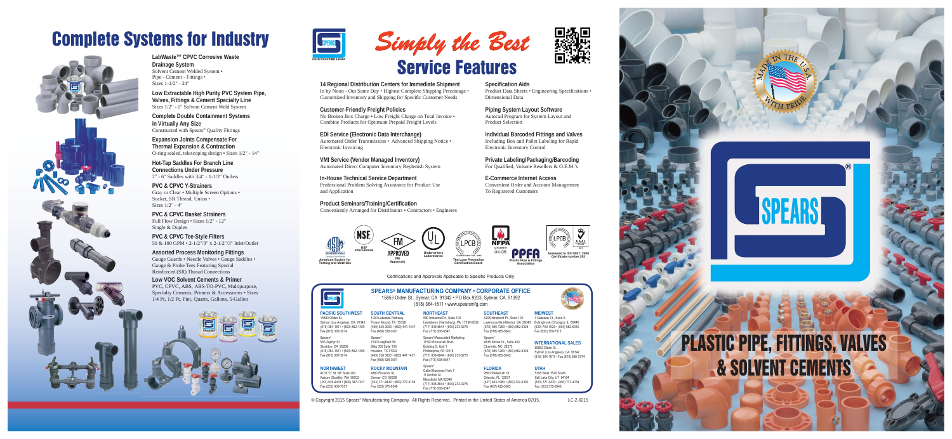**LabWaste™ CPVC Corrosive Waste Drainage System** Solvent Cement Welded System • Pipe - Cement - Fittings • Sizes 1-1/2" - 24"

**Low Extractable High Purity PVC System Pipe, Valves, Fittings & Cement Specialty Line** Sizes 1/2" - 6" Solvent Cement Weld System

**Complete Double Containment Systems in Virtually Any Size** Constructed with Spears® Quality Fittings

**Expansion Joints Compensate For Thermal Expansion & Contraction** O-ring sealed, telescoping design • Sizes 1/2" - 14"

**Hot-Tap Saddles For Branch Line Connections Under Pressure** 2" - 6" Saddles with 3/4" - 1-1/2" Outlets

**PVC & CPVC Y-Strainers**Gray or Clear • Multiple Screen Options • Socket, SR Thread, Union • Sizes 1/2" - 4"

**PVC & CPVC Basket Strainers**Full Flow Design • Sizes 1/2" - 12" Single & Duplex

**PVC & CPVC Tee-Style Filters** 50 & 100 GPM • 2-1/2"/3" x 2-1/2"/3" Inlet/Outlet

**Assorted Process Monitoring Fittings** Gauge Guards • Needle Valves • Gauge Saddles • Gauge & Probe Tees Featuring Special Reinforced (SR) Thread Connections

**Low VOC Solvent Cements & Primer** PVC, CPVC, ABS, ABS-TO-PVC, Multipurpose, Specialty Cements, Primers & Accessories • Sizes 1/4 Pt, 1/2 Pt, Pint, Quarts, Gallons, 5-Gallon

**Private Labeling/Packaging/Barcoding** For Qualified, Volume Resellers & O.E.M.'s

**14 Regional Distribution Centers for Immediate Shipment** In by Noon - Out Same Day • Highest Complete Shipping Percentage • Customized Inventory and Shipping for Speci fi c Customer Needs

#### **Customer-Friendly Freight Policies**

No Broken Box Charge • Low Freight Charge on Total Invoice • Combine Products for Optimum Prepaid Freight Levels

**EDI Service (Electronic Data Interchange)** Automated Order Transmission • Advanced Shipping Notice • Electronic Invoicing

> **NORTHEAST**590 Industrial Dr., Suite 100

**VMI Service (Vendor Managed Inventory)** Automated Direct Computer Inventory Replenish System

**In-House Technical Service Department** Professional Problem Solving Assistance for Product Use and Application

**Product Seminars/Training/Certi fi cation**

**FLORIDA**9563 Parksouth Ct. Orlando, FL 32837 (407) 843-1960 • (800) 327-6390 Fax (407) 425-3563

Fax (303) 375-9546

Conveniently Arranged for Distributors • Contractors • Engineers

**MIDWEST**1 Gateway Ct., Suite A

**Speci fi cation Aids** Product Data Sheets • Engineering Specifications • Dimensional Data

**ROCKY MOUNTAIN**4880 Florence St. Denver, CO 80238 Fax (303) 375-9546

.<br>Fax (717) 938-6547 Spears®<br>Cabot Business Park 7 11 Norfolk St. Mansfield, MA 02048 717) 938-8844 · (800) 233-0275 Fax (717) 938-6547

© Copyright 2015 Spears® Manufacturing Company. All Rights Reserved. Printed in the United States of America 02/15. LC-2-0215



**Piping System Layout Software** Autocad Program for System Layout and Product Selection

**Individual Barcoded Fittings and Valves** Including Box and Pallet Labeling for Rapid Electronic Inventory Control

**E-Commerce Internet Access**Convenient Order and Account Management To Registered Customers

## Complete Systems for Industry





#### **PACIFIC SOUTHWESTSOUTH CENTRAL**

Sylmar (Los Angeles), CA 91342 Flower Mound, TX 75028 (818) 364-1611 • (800) 862-1499 (469) 528-3000 • (800) 441-1437 1000 Lakeside Parkway Fax (469) 528-3001 Spears $^\circ$ 

555 Zephyr St Stockton, CA 95206 (818) 364-1611 • (800) 862-1499 Fax (818) 367-3014

7330 Langfield Rd. Bldg 300 Suite 100 Houston, TX 77092 (469) 528 3000 · (800) 441 1437 Fax (469) 528 3001

#### **NORTHWEST**

4103 "C" St. NE Suite 200 Auburn (Seattle), WA 98002 (253) 939-4433 • (800) 347-7327 (303) 371-9430 • (800) 777-4154 Fax (253) 939-7557

### **SOUTHEAST**

**NFPA** 

04-05

Lewisberry (Harrisburg), PA 17339-9532 4205 Newpoint Pl., Suite 100 Lawrenceville (Atlanta), GA 30043 Bolingbrook (Chicago), IL 60440 (678) 985-1263 • (800) 662-6326 (630) 759-7529 • (800) 662-6330 Fax (678) 985-5642

> Spears $^\mathrm{e}$ 4835 Sirona Dr., Suite 400 Charlotte, NC 28273 (678) 985-1263 • (800) 662-6326 Fax (678) 985-5642

 $\frac{320}{1000}$  / Fax (630) 759-7515 **INTERNATIONAL SALES**15853 Olden St. Sylmar (Los Angeles), CA 91342 (818) 364-1611 · Fax (818) 898-3774

> 5395 West 1520 South Salt Lake City, UT 84104 (303) 371-9430 • (800) 777-4154

**UTAH**

Certifications and Approvals Applicable to Specific Products Only



15860 Olden St.

Spears®

Fax (818) 367-3014

 $\mathsf{SPEARS}^\circ$  MANUFACTURING COMPANY • CORPORATE OFFICE 15853 Olden St., Sylmar, CA 91342 · PO Box 9203, Sylmar, CA 91392  $(818)$  364-1611 • www.spearsmfg.com

> (717) 938-8844 · (800) 233-0275 Fax (717) 938-6547 Spears®/Associated Marketing 11500 Roosevelt Blvd. Building G, Unit 1 Philidelphia, PA 19116 (717) 938-8844 · (800) 233-0275











**MANAGEMENT SYSTEMS**



**Certifi cate number 293**